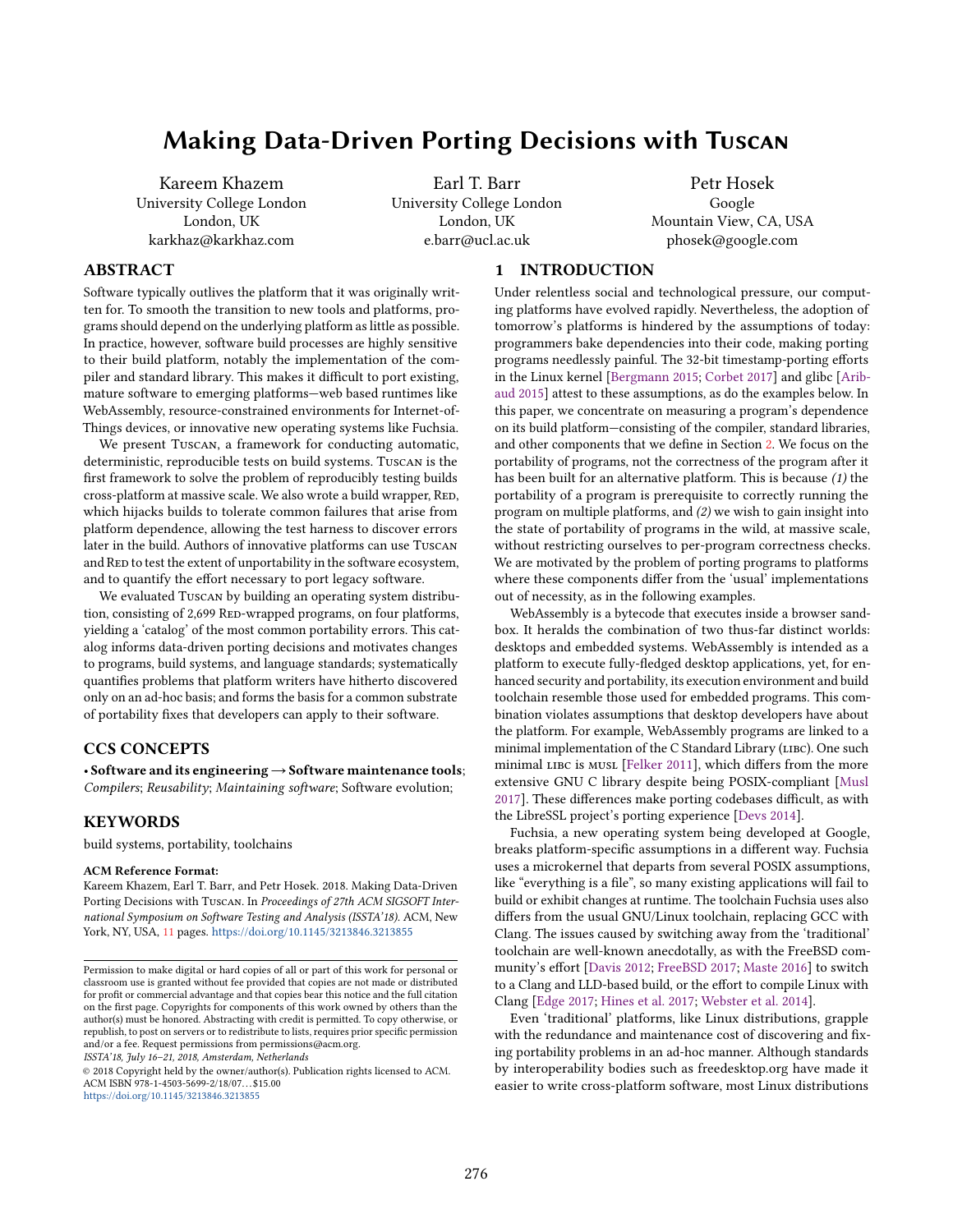# <span id="page-0-0"></span>Making Data-Driven Porting Decisions with Tuscan

Kareem Khazem University College London London, UK karkhaz@karkhaz.com

Earl T. Barr University College London London, UK e.barr@ucl.ac.uk

Petr Hosek Google Mountain View, CA, USA phosek@google.com

# ABSTRACT

Software typically outlives the platform that it was originally written for. To smooth the transition to new tools and platforms, programs should depend on the underlying platform as little as possible. In practice, however, software build processes are highly sensitive to their build platform, notably the implementation of the compiler and standard library. This makes it difficult to port existing, mature software to emerging platforms—web based runtimes like WebAssembly, resource-constrained environments for Internet-of-Things devices, or innovative new operating systems like Fuchsia.

We present Tuscan, a framework for conducting automatic, deterministic, reproducible tests on build systems. Tuscan is the first framework to solve the problem of reproducibly testing builds cross-platform at massive scale. We also wrote a build wrapper, RED, which hijacks builds to tolerate common failures that arise from platform dependence, allowing the test harness to discover errors later in the build. Authors of innovative platforms can use Tuscan and RED to test the extent of unportability in the software ecosystem, and to quantify the effort necessary to port legacy software.

We evaluated Tuscan by building an operating system distribution, consisting of 2,699 RED-wrapped programs, on four platforms, yielding a 'catalog' of the most common portability errors. This catalog informs data-driven porting decisions and motivates changes to programs, build systems, and language standards; systematically quantifies problems that platform writers have hitherto discovered only on an ad-hoc basis; and forms the basis for a common substrate of portability fixes that developers can apply to their software.

# CCS CONCEPTS

• Software and its engineering→Software maintenance tools; Compilers; Reusability; Maintaining software; Software evolution;

#### **KEYWORDS**

build systems, portability, toolchains

#### ACM Reference Format:

Kareem Khazem, Earl T. Barr, and Petr Hosek. 2018. Making Data-Driven Porting Decisions with Tuscan. In Proceedings of 27th ACM SIGSOFT International Symposium on Software Testing and Analysis (ISSTA'18). ACM, New York, NY, USA, [11](#page-10-0) pages. <https://doi.org/10.1145/3213846.3213855>

ISSTA'18, July 16–21, 2018, Amsterdam, Netherlands

© 2018 Copyright held by the owner/author(s). Publication rights licensed to ACM. ACM ISBN 978-1-4503-5699-2/18/07. . . \$15.00 <https://doi.org/10.1145/3213846.3213855>

## <span id="page-0-1"></span>1 INTRODUCTION

Under relentless social and technological pressure, our computing platforms have evolved rapidly. Nevertheless, the adoption of tomorrow's platforms is hindered by the assumptions of today: programmers bake dependencies into their code, making porting programs needlessly painful. The 32-bit timestamp-porting efforts in the Linux kernel [\[Bergmann](#page-10-1) [2015;](#page-10-1) [Corbet](#page-10-2) [2017\]](#page-10-2) and glibc [\[Arib](#page-10-3)[aud](#page-10-3) [2015\]](#page-10-3) attest to these assumptions, as do the examples below. In this paper, we concentrate on measuring a program's dependence on its build platform—consisting of the compiler, standard libraries, and other components that we define in Section [2.](#page-1-0) We focus on the portability of programs, not the correctness of the program after it has been built for an alternative platform. This is because  $(1)$  the portability of a program is prerequisite to correctly running the program on multiple platforms, and (2) we wish to gain insight into the state of portability of programs in the wild, at massive scale, without restricting ourselves to per-program correctness checks. We are motivated by the problem of porting programs to platforms where these components differ from the 'usual' implementations out of necessity, as in the following examples.

WebAssembly is a bytecode that executes inside a browser sandbox. It heralds the combination of two thus-far distinct worlds: desktops and embedded systems. WebAssembly is intended as a platform to execute fully-fledged desktop applications, yet, for enhanced security and portability, its execution environment and build toolchain resemble those used for embedded programs. This combination violates assumptions that desktop developers have about the platform. For example, WebAssembly programs are linked to a minimal implementation of the C Standard Library (LIBC). One such minimal LIBC is MUSL [\[Felker](#page-10-4) [2011\]](#page-10-4), which differs from the more extensive GNU C library despite being POSIX-compliant [\[Musl](#page-10-5) [2017\]](#page-10-5). These differences make porting codebases difficult, as with the LibreSSL project's porting experience [\[Devs](#page-10-6) [2014\]](#page-10-6).

Fuchsia, a new operating system being developed at Google, breaks platform-specific assumptions in a different way. Fuchsia uses a microkernel that departs from several POSIX assumptions, like "everything is a file", so many existing applications will fail to build or exhibit changes at runtime. The toolchain Fuchsia uses also differs from the usual GNU/Linux toolchain, replacing GCC with Clang. The issues caused by switching away from the 'traditional' toolchain are well-known anecdotally, as with the FreeBSD community's effort [\[Davis](#page-10-7) [2012;](#page-10-7) [FreeBSD](#page-10-8) [2017;](#page-10-8) [Maste](#page-10-9) [2016\]](#page-10-9) to switch to a Clang and LLD-based build, or the effort to compile Linux with Clang [\[Edge](#page-10-10) [2017;](#page-10-10) [Hines et al.](#page-10-11) [2017;](#page-10-11) [Webster et al.](#page-10-12) [2014\]](#page-10-12).

Even 'traditional' platforms, like Linux distributions, grapple with the redundance and maintenance cost of discovering and fixing portability problems in an ad-hoc manner. Although standards by interoperability bodies such as freedesktop.org have made it easier to write cross-platform software, most Linux distributions

Permission to make digital or hard copies of all or part of this work for personal or classroom use is granted without fee provided that copies are not made or distributed for profit or commercial advantage and that copies bear this notice and the full citation on the first page. Copyrights for components of this work owned by others than the author(s) must be honored. Abstracting with credit is permitted. To copy otherwise, or republish, to post on servers or to redistribute to lists, requires prior specific permission and/or a fee. Request permissions from permissions@acm.org.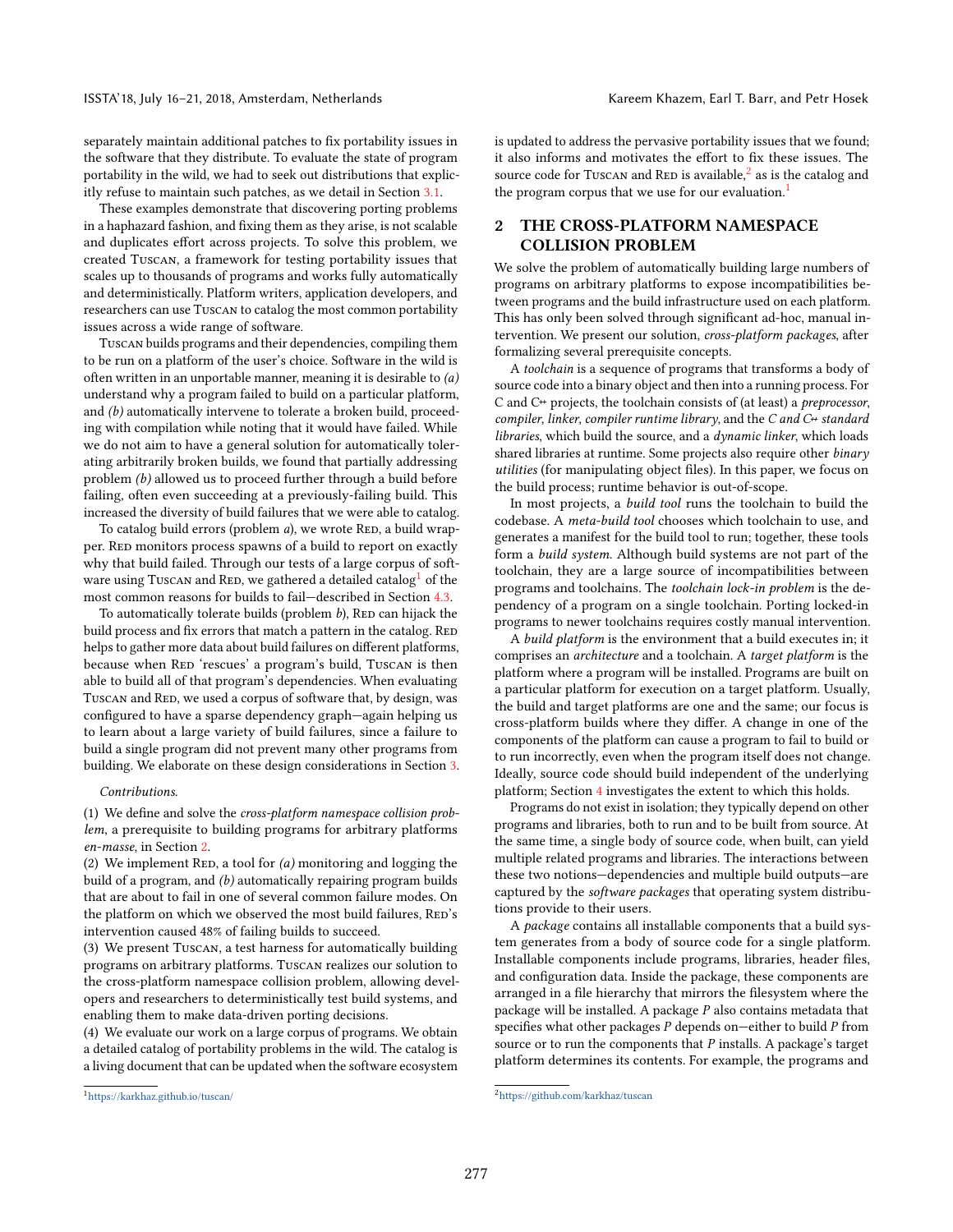separately maintain additional patches to fix portability issues in the software that they distribute. To evaluate the state of program portability in the wild, we had to seek out distributions that explicitly refuse to maintain such patches, as we detail in Section [3.1.](#page-2-0)

These examples demonstrate that discovering porting problems in a haphazard fashion, and fixing them as they arise, is not scalable and duplicates effort across projects. To solve this problem, we created Tuscan, a framework for testing portability issues that scales up to thousands of programs and works fully automatically and deterministically. Platform writers, application developers, and researchers can use Tuscan to catalog the most common portability issues across a wide range of software.

Tuscan builds programs and their dependencies, compiling them to be run on a platform of the user's choice. Software in the wild is often written in an unportable manner, meaning it is desirable to  $(a)$ understand why a program failed to build on a particular platform, and (b) automatically intervene to tolerate a broken build, proceeding with compilation while noting that it would have failed. While we do not aim to have a general solution for automatically tolerating arbitrarily broken builds, we found that partially addressing problem (b) allowed us to proceed further through a build before failing, often even succeeding at a previously-failing build. This increased the diversity of build failures that we were able to catalog.

To catalog build errors (problem  $a$ ), we wrote RED, a build wrapper. Red monitors process spawns of a build to report on exactly why that build failed. Through our tests of a large corpus of soft-ware using Tuscan and RED, we gathered a detailed catalog<sup>[1](#page-0-0)</sup> of the most common reasons for builds to fail—described in Section [4.3.](#page-6-0)

To automatically tolerate builds (problem  $b$ ), RED can hijack the build process and fix errors that match a pattern in the catalog. RED helps to gather more data about build failures on different platforms, because when RED 'rescues' a program's build, Tuscan is then able to build all of that program's dependencies. When evaluating Tuscan and RED, we used a corpus of software that, by design, was configured to have a sparse dependency graph—again helping us to learn about a large variety of build failures, since a failure to build a single program did not prevent many other programs from building. We elaborate on these design considerations in Section [3.](#page-2-1)

#### Contributions.

(1) We define and solve the cross-platform namespace collision problem, a prerequisite to building programs for arbitrary platforms en-masse, in Section [2.](#page-1-0)

(2) We implement RED, a tool for  $(a)$  monitoring and logging the build of a program, and  $(b)$  automatically repairing program builds that are about to fail in one of several common failure modes. On the platform on which we observed the most build failures, RED's intervention caused 48% of failing builds to succeed.

(3) We present Tuscan, a test harness for automatically building programs on arbitrary platforms. Tuscan realizes our solution to the cross-platform namespace collision problem, allowing developers and researchers to deterministically test build systems, and enabling them to make data-driven porting decisions.

(4) We evaluate our work on a large corpus of programs. We obtain a detailed catalog of portability problems in the wild. The catalog is a living document that can be updated when the software ecosystem is updated to address the pervasive portability issues that we found; it also informs and motivates the effort to fix these issues. The source code for Tuscan and RED is available, $^2$  $^2$  as is the catalog and the program corpus that we use for our evaluation.<sup>[1](#page-0-1)</sup>

# <span id="page-1-0"></span>2 THE CROSS-PLATFORM NAMESPACE COLLISION PROBLEM

We solve the problem of automatically building large numbers of programs on arbitrary platforms to expose incompatibilities between programs and the build infrastructure used on each platform. This has only been solved through significant ad-hoc, manual intervention. We present our solution, cross-platform packages, after formalizing several prerequisite concepts.

A toolchain is a sequence of programs that transforms a body of source code into a binary object and then into a running process. For C and  $C^+$  projects, the toolchain consists of (at least) a *preprocessor*, compiler, linker, compiler runtime library, and the C and  $C^+$  standard libraries, which build the source, and a dynamic linker, which loads shared libraries at runtime. Some projects also require other binary utilities (for manipulating object files). In this paper, we focus on the build process; runtime behavior is out-of-scope.

In most projects, a build tool runs the toolchain to build the codebase. A meta-build tool chooses which toolchain to use, and generates a manifest for the build tool to run; together, these tools form a build system. Although build systems are not part of the toolchain, they are a large source of incompatibilities between programs and toolchains. The toolchain lock-in problem is the dependency of a program on a single toolchain. Porting locked-in programs to newer toolchains requires costly manual intervention.

A build platform is the environment that a build executes in; it comprises an architecture and a toolchain. A target platform is the platform where a program will be installed. Programs are built on a particular platform for execution on a target platform. Usually, the build and target platforms are one and the same; our focus is cross-platform builds where they differ. A change in one of the components of the platform can cause a program to fail to build or to run incorrectly, even when the program itself does not change. Ideally, source code should build independent of the underlying platform; Section [4](#page-5-0) investigates the extent to which this holds.

Programs do not exist in isolation; they typically depend on other programs and libraries, both to run and to be built from source. At the same time, a single body of source code, when built, can yield multiple related programs and libraries. The interactions between these two notions—dependencies and multiple build outputs—are captured by the software packages that operating system distributions provide to their users.

A package contains all installable components that a build system generates from a body of source code for a single platform. Installable components include programs, libraries, header files, and configuration data. Inside the package, these components are arranged in a file hierarchy that mirrors the filesystem where the package will be installed. A package P also contains metadata that specifies what other packages P depends on—either to build P from source or to run the components that  $P$  installs. A package's target platform determines its contents. For example, the programs and

<sup>1</sup><https://karkhaz.github.io/tuscan/>

<sup>2</sup><https://github.com/karkhaz/tuscan>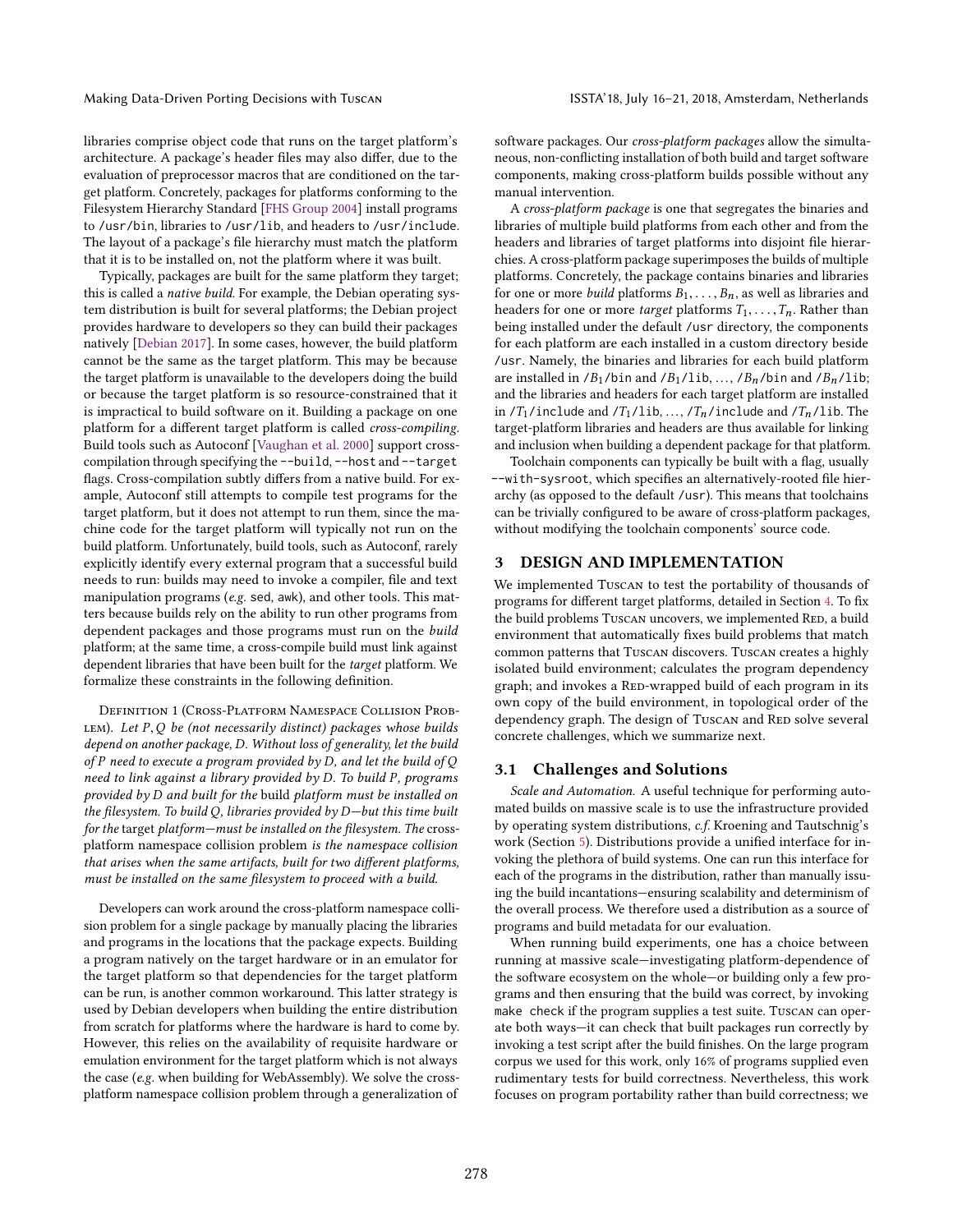libraries comprise object code that runs on the target platform's architecture. A package's header files may also differ, due to the evaluation of preprocessor macros that are conditioned on the target platform. Concretely, packages for platforms conforming to the Filesystem Hierarchy Standard [\[FHS Group](#page-10-13) [2004\]](#page-10-13) install programs to /usr/bin, libraries to /usr/lib, and headers to /usr/include. The layout of a package's file hierarchy must match the platform that it is to be installed on, not the platform where it was built.

Typically, packages are built for the same platform they target; this is called a native build. For example, the Debian operating system distribution is built for several platforms; the Debian project provides hardware to developers so they can build their packages natively [\[Debian](#page-10-14) [2017\]](#page-10-14). In some cases, however, the build platform cannot be the same as the target platform. This may be because the target platform is unavailable to the developers doing the build or because the target platform is so resource-constrained that it is impractical to build software on it. Building a package on one platform for a different target platform is called cross-compiling. Build tools such as Autoconf [\[Vaughan et al.](#page-10-15) [2000\]](#page-10-15) support crosscompilation through specifying the --build, --host and --target flags. Cross-compilation subtly differs from a native build. For example, Autoconf still attempts to compile test programs for the target platform, but it does not attempt to run them, since the machine code for the target platform will typically not run on the build platform. Unfortunately, build tools, such as Autoconf, rarely explicitly identify every external program that a successful build needs to run: builds may need to invoke a compiler, file and text manipulation programs (e.g. sed, awk), and other tools. This matters because builds rely on the ability to run other programs from dependent packages and those programs must run on the build platform; at the same time, a cross-compile build must link against dependent libraries that have been built for the target platform. We formalize these constraints in the following definition.

Definition 1 (Cross-Platform Namespace Collision Prob-LEM). Let  $P, Q$  be (not necessarily distinct) packages whose builds depend on another package, D. Without loss of generality, let the build of P need to execute a program provided by D, and let the build of Q need to link against a library provided by D. To build P, programs provided by D and built for the build platform must be installed on the filesystem. To build Q, libraries provided by D—but this time built for the target platform—must be installed on the filesystem. The crossplatform namespace collision problem is the namespace collision that arises when the same artifacts, built for two different platforms, must be installed on the same filesystem to proceed with a build.

Developers can work around the cross-platform namespace collision problem for a single package by manually placing the libraries and programs in the locations that the package expects. Building a program natively on the target hardware or in an emulator for the target platform so that dependencies for the target platform can be run, is another common workaround. This latter strategy is used by Debian developers when building the entire distribution from scratch for platforms where the hardware is hard to come by. However, this relies on the availability of requisite hardware or emulation environment for the target platform which is not always the case (e.g. when building for WebAssembly). We solve the crossplatform namespace collision problem through a generalization of software packages. Our cross-platform packages allow the simultaneous, non-conflicting installation of both build and target software components, making cross-platform builds possible without any manual intervention.

A cross-platform package is one that segregates the binaries and libraries of multiple build platforms from each other and from the headers and libraries of target platforms into disjoint file hierarchies. A cross-platform package superimposes the builds of multiple platforms. Concretely, the package contains binaries and libraries for one or more *build* platforms  $B_1, \ldots, B_n$ , as well as libraries and headers for one or more *target* platforms  $T_1, \ldots, T_n$ . Rather than being installed under the default /usr directory, the components for each platform are each installed in a custom directory beside /usr. Namely, the binaries and libraries for each build platform are installed in  $/B_1/b$ in and  $/B_1/l$ ib, ...,  $/B_n/b$ in and  $/B_n/l$ ib; and the libraries and headers for each target platform are installed in /T<sub>1</sub>/include and /T<sub>1</sub>/lib, ..., /T<sub>n</sub>/include and /T<sub>n</sub>/lib. The target-platform libraries and headers are thus available for linking and inclusion when building a dependent package for that platform.

Toolchain components can typically be built with a flag, usually --with-sysroot, which specifies an alternatively-rooted file hierarchy (as opposed to the default /usr). This means that toolchains can be trivially configured to be aware of cross-platform packages, without modifying the toolchain components' source code.

# <span id="page-2-1"></span>3 DESIGN AND IMPLEMENTATION

We implemented Tuscan to test the portability of thousands of programs for different target platforms, detailed in Section [4.](#page-5-0) To fix the build problems Tuscan uncovers, we implemented RED, a build environment that automatically fixes build problems that match common patterns that Tuscan discovers. Tuscan creates a highly isolated build environment; calculates the program dependency graph; and invokes a RED-wrapped build of each program in its own copy of the build environment, in topological order of the dependency graph. The design of Tuscan and RED solve several concrete challenges, which we summarize next.

# <span id="page-2-0"></span>3.1 Challenges and Solutions

Scale and Automation. A useful technique for performing automated builds on massive scale is to use the infrastructure provided by operating system distributions, c.f. Kroening and Tautschnig's work (Section [5\)](#page-8-0). Distributions provide a unified interface for invoking the plethora of build systems. One can run this interface for each of the programs in the distribution, rather than manually issuing the build incantations—ensuring scalability and determinism of the overall process. We therefore used a distribution as a source of programs and build metadata for our evaluation.

When running build experiments, one has a choice between running at massive scale—investigating platform-dependence of the software ecosystem on the whole—or building only a few programs and then ensuring that the build was correct, by invoking make check if the program supplies a test suite. Tuscan can operate both ways—it can check that built packages run correctly by invoking a test script after the build finishes. On the large program corpus we used for this work, only 16% of programs supplied even rudimentary tests for build correctness. Nevertheless, this work focuses on program portability rather than build correctness; we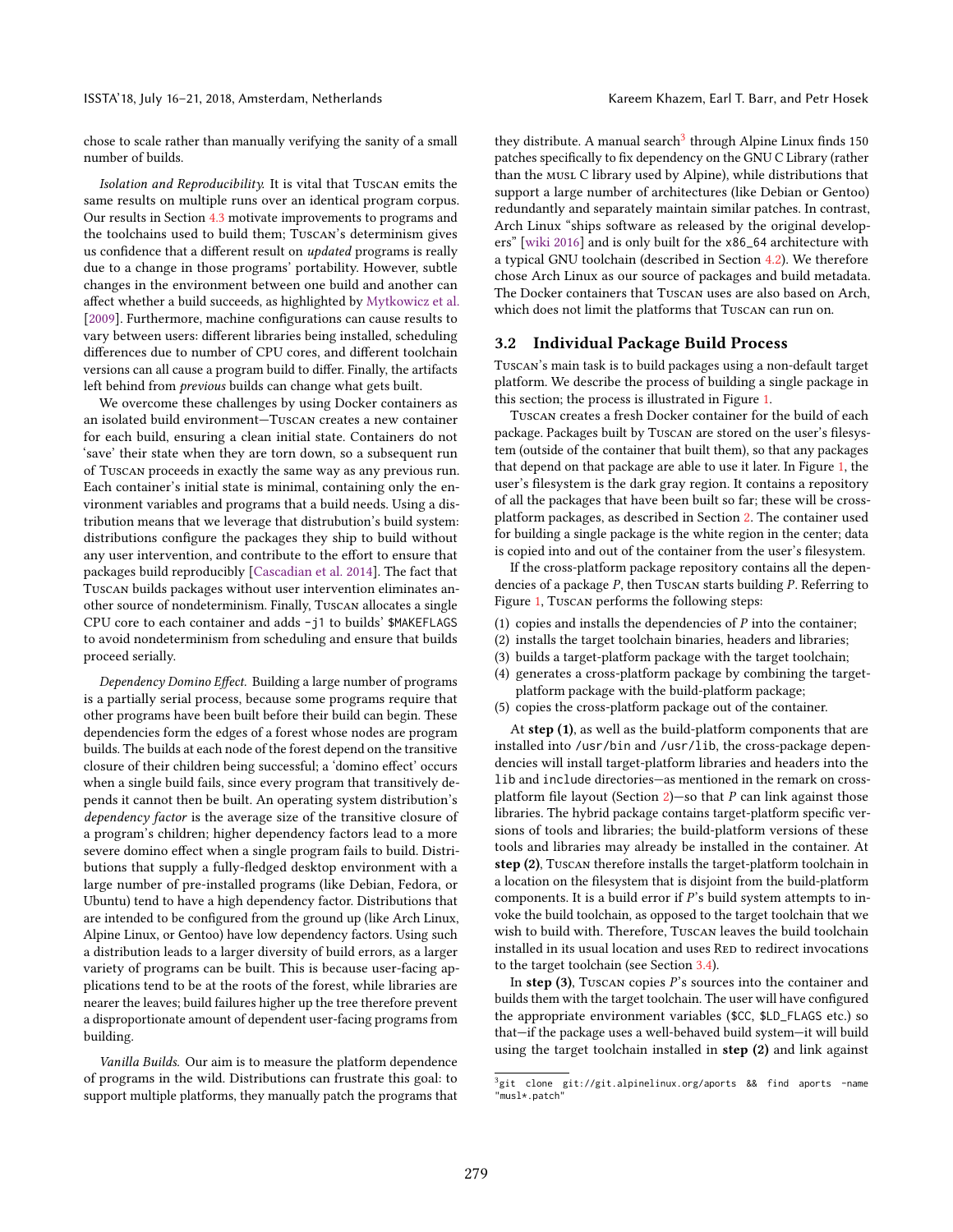chose to scale rather than manually verifying the sanity of a small number of builds.

Isolation and Reproducibility. It is vital that Tuscan emits the same results on multiple runs over an identical program corpus. Our results in Section [4.3](#page-6-0) motivate improvements to programs and the toolchains used to build them; Tuscan's determinism gives us confidence that a different result on updated programs is really due to a change in those programs' portability. However, subtle changes in the environment between one build and another can affect whether a build succeeds, as highlighted by [Mytkowicz et al.](#page-10-16) [\[2009\]](#page-10-16). Furthermore, machine configurations can cause results to vary between users: different libraries being installed, scheduling differences due to number of CPU cores, and different toolchain versions can all cause a program build to differ. Finally, the artifacts left behind from previous builds can change what gets built.

We overcome these challenges by using Docker containers as an isolated build environment—Tuscan creates a new container for each build, ensuring a clean initial state. Containers do not 'save' their state when they are torn down, so a subsequent run of Tuscan proceeds in exactly the same way as any previous run. Each container's initial state is minimal, containing only the environment variables and programs that a build needs. Using a distribution means that we leverage that distrubution's build system: distributions configure the packages they ship to build without any user intervention, and contribute to the effort to ensure that packages build reproducibly [\[Cascadian et al.](#page-10-17) [2014\]](#page-10-17). The fact that Tuscan builds packages without user intervention eliminates another source of nondeterminism. Finally, Tuscan allocates a single CPU core to each container and adds -j1 to builds' \$MAKEFLAGS to avoid nondeterminism from scheduling and ensure that builds proceed serially.

Dependency Domino Effect. Building a large number of programs is a partially serial process, because some programs require that other programs have been built before their build can begin. These dependencies form the edges of a forest whose nodes are program builds. The builds at each node of the forest depend on the transitive closure of their children being successful; a 'domino effect' occurs when a single build fails, since every program that transitively depends it cannot then be built. An operating system distribution's dependency factor is the average size of the transitive closure of a program's children; higher dependency factors lead to a more severe domino effect when a single program fails to build. Distributions that supply a fully-fledged desktop environment with a large number of pre-installed programs (like Debian, Fedora, or Ubuntu) tend to have a high dependency factor. Distributions that are intended to be configured from the ground up (like Arch Linux, Alpine Linux, or Gentoo) have low dependency factors. Using such a distribution leads to a larger diversity of build errors, as a larger variety of programs can be built. This is because user-facing applications tend to be at the roots of the forest, while libraries are nearer the leaves; build failures higher up the tree therefore prevent a disproportionate amount of dependent user-facing programs from building.

Vanilla Builds. Our aim is to measure the platform dependence of programs in the wild. Distributions can frustrate this goal: to support multiple platforms, they manually patch the programs that

they distribute. A manual search<sup>[3](#page-0-0)</sup> through Alpine Linux finds 150 patches specifically to fix dependency on the GNU C Library (rather than the musl C library used by Alpine), while distributions that support a large number of architectures (like Debian or Gentoo) redundantly and separately maintain similar patches. In contrast, Arch Linux "ships software as released by the original developers" [\[wiki](#page-10-18) [2016\]](#page-10-18) and is only built for the x86\_64 architecture with a typical GNU toolchain (described in Section [4.2\)](#page-6-1). We therefore chose Arch Linux as our source of packages and build metadata. The Docker containers that Tuscan uses are also based on Arch, which does not limit the platforms that Tuscan can run on.

#### <span id="page-3-0"></span>3.2 Individual Package Build Process

Tuscan's main task is to build packages using a non-default target platform. We describe the process of building a single package in this section; the process is illustrated in Figure [1.](#page-4-0)

Tuscan creates a fresh Docker container for the build of each package. Packages built by Tuscan are stored on the user's filesystem (outside of the container that built them), so that any packages that depend on that package are able to use it later. In Figure [1,](#page-4-0) the user's filesystem is the dark gray region. It contains a repository of all the packages that have been built so far; these will be crossplatform packages, as described in Section [2.](#page-1-0) The container used for building a single package is the white region in the center; data is copied into and out of the container from the user's filesystem.

If the cross-platform package repository contains all the dependencies of a package P, then Tuscan starts building P. Referring to Figure [1,](#page-4-0) Tuscan performs the following steps:

- (1) copies and installs the dependencies of  $P$  into the container;
- (2) installs the target toolchain binaries, headers and libraries;
- (3) builds a target-platform package with the target toolchain;
- (4) generates a cross-platform package by combining the targetplatform package with the build-platform package;
- (5) copies the cross-platform package out of the container.

At step (1), as well as the build-platform components that are installed into /usr/bin and /usr/lib, the cross-package dependencies will install target-platform libraries and headers into the lib and include directories—as mentioned in the remark on crossplatform file layout (Section  $2$ )—so that P can link against those libraries. The hybrid package contains target-platform specific versions of tools and libraries; the build-platform versions of these tools and libraries may already be installed in the container. At step (2), Tuscan therefore installs the target-platform toolchain in a location on the filesystem that is disjoint from the build-platform components. It is a build error if  $P$ 's build system attempts to invoke the build toolchain, as opposed to the target toolchain that we wish to build with. Therefore, Tuscan leaves the build toolchain installed in its usual location and uses RED to redirect invocations to the target toolchain (see Section [3.4\)](#page-4-1).

In step (3), Tuscan copies  $P$ 's sources into the container and builds them with the target toolchain. The user will have configured the appropriate environment variables (\$CC, \$LD\_FLAGS etc.) so that—if the package uses a well-behaved build system—it will build using the target toolchain installed in step (2) and link against

 $^3$ git clone git://git.alpinelinux.org/aports && find aports -name "musl\*.patch"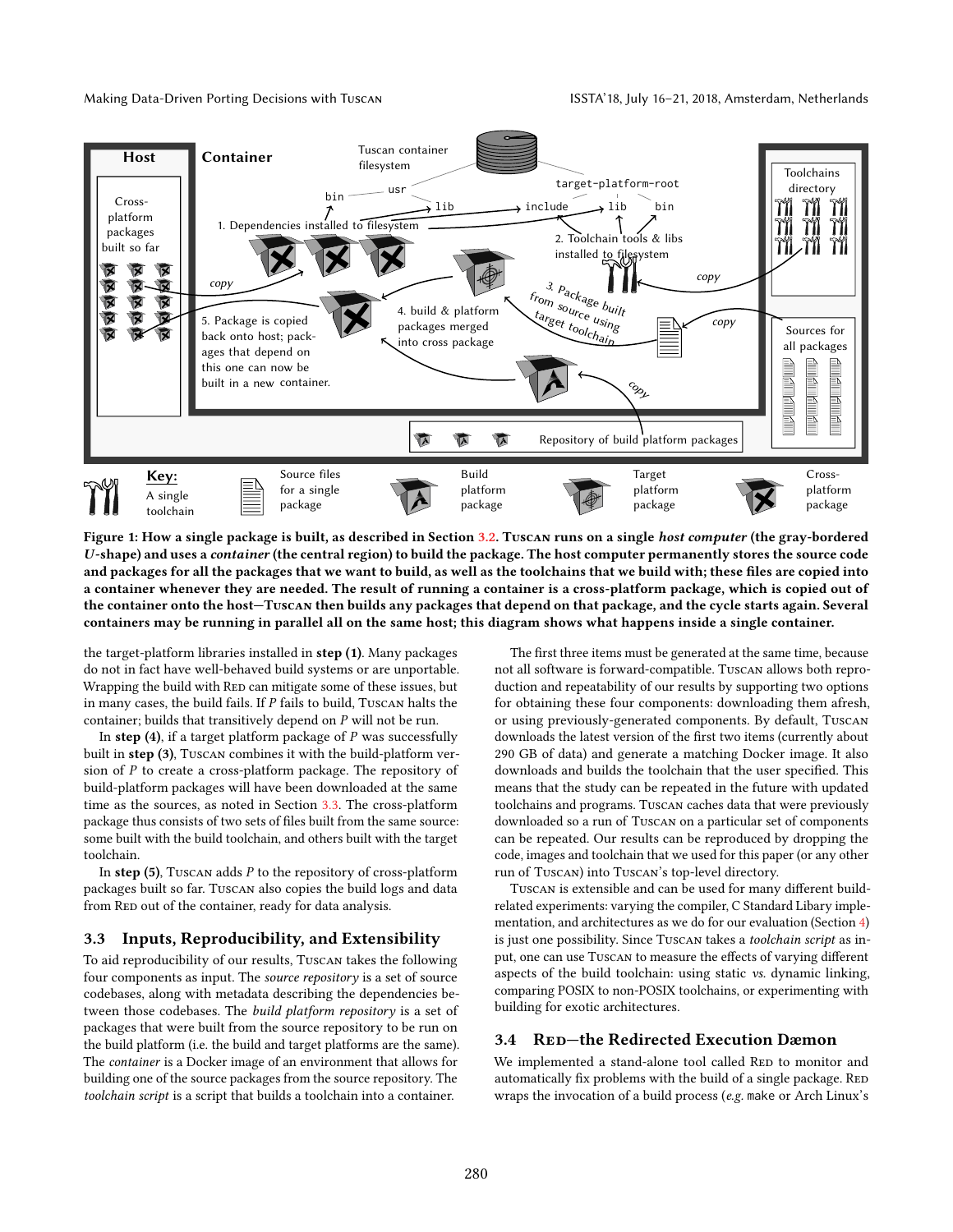Making Data-Driven Porting Decisions with Tuscan ISSTA'18, July 16–21, 2018, Amsterdam, Netherlands

<span id="page-4-0"></span>

Figure 1: How a single package is built, as described in Section [3.2.](#page-3-0) Tuscan runs on a single host computer (the gray-bordered U-shape) and uses a container (the central region) to build the package. The host computer permanently stores the source code and packages for all the packages that we want to build, as well as the toolchains that we build with; these files are copied into a container whenever they are needed. The result of running a container is a cross-platform package, which is copied out of the container onto the host—Tuscan then builds any packages that depend on that package, and the cycle starts again. Several containers may be running in parallel all on the same host; this diagram shows what happens inside a single container.

the target-platform libraries installed in step (1). Many packages do not in fact have well-behaved build systems or are unportable. Wrapping the build with RED can mitigate some of these issues, but in many cases, the build fails. If  $P$  fails to build, Tuscan halts the container; builds that transitively depend on P will not be run.

In step (4), if a target platform package of  $P$  was successfully built in step (3), Tuscan combines it with the build-platform version of P to create a cross-platform package. The repository of build-platform packages will have been downloaded at the same time as the sources, as noted in Section [3.3.](#page-4-2) The cross-platform package thus consists of two sets of files built from the same source: some built with the build toolchain, and others built with the target toolchain.

In step (5), Tuscan adds  $P$  to the repository of cross-platform packages built so far. Tuscan also copies the build logs and data from RED out of the container, ready for data analysis.

## <span id="page-4-2"></span>3.3 Inputs, Reproducibility, and Extensibility

To aid reproducibility of our results, Tuscan takes the following four components as input. The source repository is a set of source codebases, along with metadata describing the dependencies between those codebases. The build platform repository is a set of packages that were built from the source repository to be run on the build platform (i.e. the build and target platforms are the same). The container is a Docker image of an environment that allows for building one of the source packages from the source repository. The toolchain script is a script that builds a toolchain into a container.

The first three items must be generated at the same time, because not all software is forward-compatible. Tuscan allows both reproduction and repeatability of our results by supporting two options for obtaining these four components: downloading them afresh, or using previously-generated components. By default, Tuscan downloads the latest version of the first two items (currently about 290 GB of data) and generate a matching Docker image. It also downloads and builds the toolchain that the user specified. This means that the study can be repeated in the future with updated toolchains and programs. Tuscan caches data that were previously downloaded so a run of Tuscan on a particular set of components can be repeated. Our results can be reproduced by dropping the code, images and toolchain that we used for this paper (or any other run of Tuscan) into Tuscan's top-level directory.

Tuscan is extensible and can be used for many different buildrelated experiments: varying the compiler, C Standard Libary implementation, and architectures as we do for our evaluation (Section [4\)](#page-5-0) is just one possibility. Since Tuscan takes a toolchain script as input, one can use Tuscan to measure the effects of varying different aspects of the build toolchain: using static vs. dynamic linking, comparing POSIX to non-POSIX toolchains, or experimenting with building for exotic architectures.

## <span id="page-4-1"></span>3.4 RED-the Redirected Execution Dæmon

We implemented a stand-alone tool called RED to monitor and automatically fix problems with the build of a single package. RED wraps the invocation of a build process (e.g. make or Arch Linux's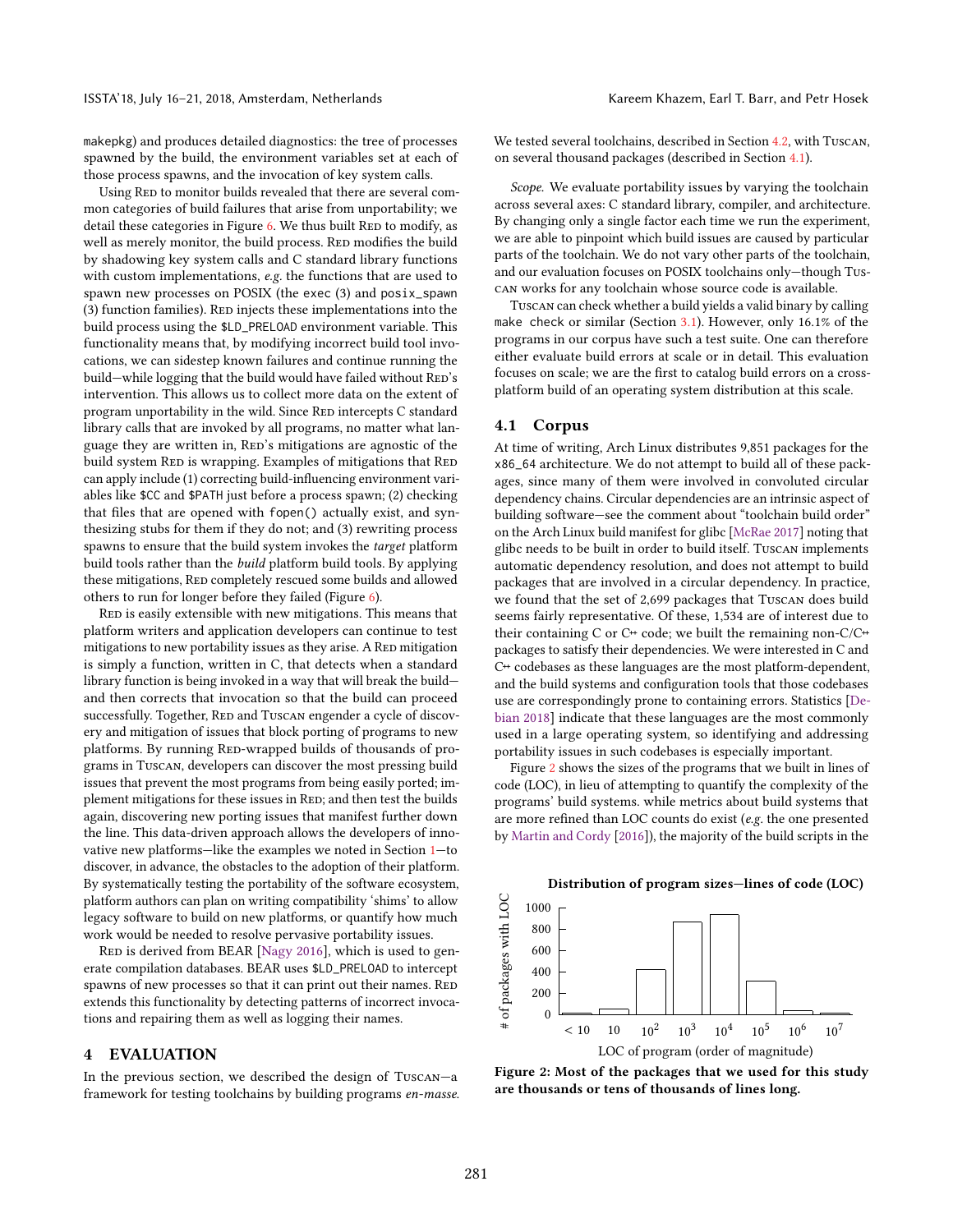makepkg) and produces detailed diagnostics: the tree of processes spawned by the build, the environment variables set at each of those process spawns, and the invocation of key system calls.

Using RED to monitor builds revealed that there are several common categories of build failures that arise from unportability; we detail these categories in Figure  $6$ . We thus built RED to modify, as well as merely monitor, the build process. RED modifies the build by shadowing key system calls and C standard library functions with custom implementations, e.g. the functions that are used to spawn new processes on POSIX (the exec (3) and posix\_spawn (3) function families). RED injects these implementations into the build process using the \$LD\_PRELOAD environment variable. This functionality means that, by modifying incorrect build tool invocations, we can sidestep known failures and continue running the build-while logging that the build would have failed without RED's intervention. This allows us to collect more data on the extent of program unportability in the wild. Since RED intercepts C standard library calls that are invoked by all programs, no matter what language they are written in, RED's mitigations are agnostic of the build system RED is wrapping. Examples of mitigations that RED can apply include (1) correcting build-influencing environment variables like \$CC and \$PATH just before a process spawn; (2) checking that files that are opened with fopen() actually exist, and synthesizing stubs for them if they do not; and (3) rewriting process spawns to ensure that the build system invokes the target platform build tools rather than the build platform build tools. By applying these mitigations, RED completely rescued some builds and allowed others to run for longer before they failed (Figure [6\)](#page-8-1).

RED is easily extensible with new mitigations. This means that platform writers and application developers can continue to test mitigations to new portability issues as they arise. A RED mitigation is simply a function, written in C, that detects when a standard library function is being invoked in a way that will break the build and then corrects that invocation so that the build can proceed successfully. Together, RED and TUSCAN engender a cycle of discovery and mitigation of issues that block porting of programs to new platforms. By running RED-wrapped builds of thousands of programs in Tuscan, developers can discover the most pressing build issues that prevent the most programs from being easily ported; implement mitigations for these issues in RED; and then test the builds again, discovering new porting issues that manifest further down the line. This data-driven approach allows the developers of innovative new platforms—like the examples we noted in Section [1—](#page-0-1)to discover, in advance, the obstacles to the adoption of their platform. By systematically testing the portability of the software ecosystem, platform authors can plan on writing compatibility 'shims' to allow legacy software to build on new platforms, or quantify how much work would be needed to resolve pervasive portability issues.

RED is derived from BEAR [\[Nagy](#page-10-19) [2016\]](#page-10-19), which is used to generate compilation databases. BEAR uses \$LD\_PRELOAD to intercept spawns of new processes so that it can print out their names. RED extends this functionality by detecting patterns of incorrect invocations and repairing them as well as logging their names.

#### <span id="page-5-0"></span>4 EVALUATION

In the previous section, we described the design of Tuscan—a framework for testing toolchains by building programs en-masse. We tested several toolchains, described in Section [4.2,](#page-6-1) with Tuscan, on several thousand packages (described in Section [4.1\)](#page-5-1).

Scope. We evaluate portability issues by varying the toolchain across several axes: C standard library, compiler, and architecture. By changing only a single factor each time we run the experiment, we are able to pinpoint which build issues are caused by particular parts of the toolchain. We do not vary other parts of the toolchain, and our evaluation focuses on POSIX toolchains only—though Tuscan works for any toolchain whose source code is available.

Tuscan can check whether a build yields a valid binary by calling make check or similar (Section [3.1\)](#page-2-0). However, only 16.1% of the programs in our corpus have such a test suite. One can therefore either evaluate build errors at scale or in detail. This evaluation focuses on scale; we are the first to catalog build errors on a crossplatform build of an operating system distribution at this scale.

#### <span id="page-5-1"></span>4.1 Corpus

At time of writing, Arch Linux distributes 9,851 packages for the x86\_64 architecture. We do not attempt to build all of these packages, since many of them were involved in convoluted circular dependency chains. Circular dependencies are an intrinsic aspect of building software—see the comment about "toolchain build order" on the Arch Linux build manifest for glibc [\[McRae](#page-10-20) [2017\]](#page-10-20) noting that glibc needs to be built in order to build itself. Tuscan implements automatic dependency resolution, and does not attempt to build packages that are involved in a circular dependency. In practice, we found that the set of 2,699 packages that Tuscan does build seems fairly representative. Of these, 1,534 are of interest due to their containing C or C++ code; we built the remaining non-C/C++ packages to satisfy their dependencies. We were interested in C and C++ codebases as these languages are the most platform-dependent, and the build systems and configuration tools that those codebases use are correspondingly prone to containing errors. Statistics [\[De](#page-10-21)[bian](#page-10-21) [2018\]](#page-10-21) indicate that these languages are the most commonly used in a large operating system, so identifying and addressing portability issues in such codebases is especially important.

Figure [2](#page-5-2) shows the sizes of the programs that we built in lines of code (LOC), in lieu of attempting to quantify the complexity of the programs' build systems. while metrics about build systems that are more refined than LOC counts do exist (e.g. the one presented by [Martin and Cordy](#page-10-22) [\[2016\]](#page-10-22)), the majority of the build scripts in the

<span id="page-5-2"></span>

Figure 2: Most of the packages that we used for this study are thousands or tens of thousands of lines long.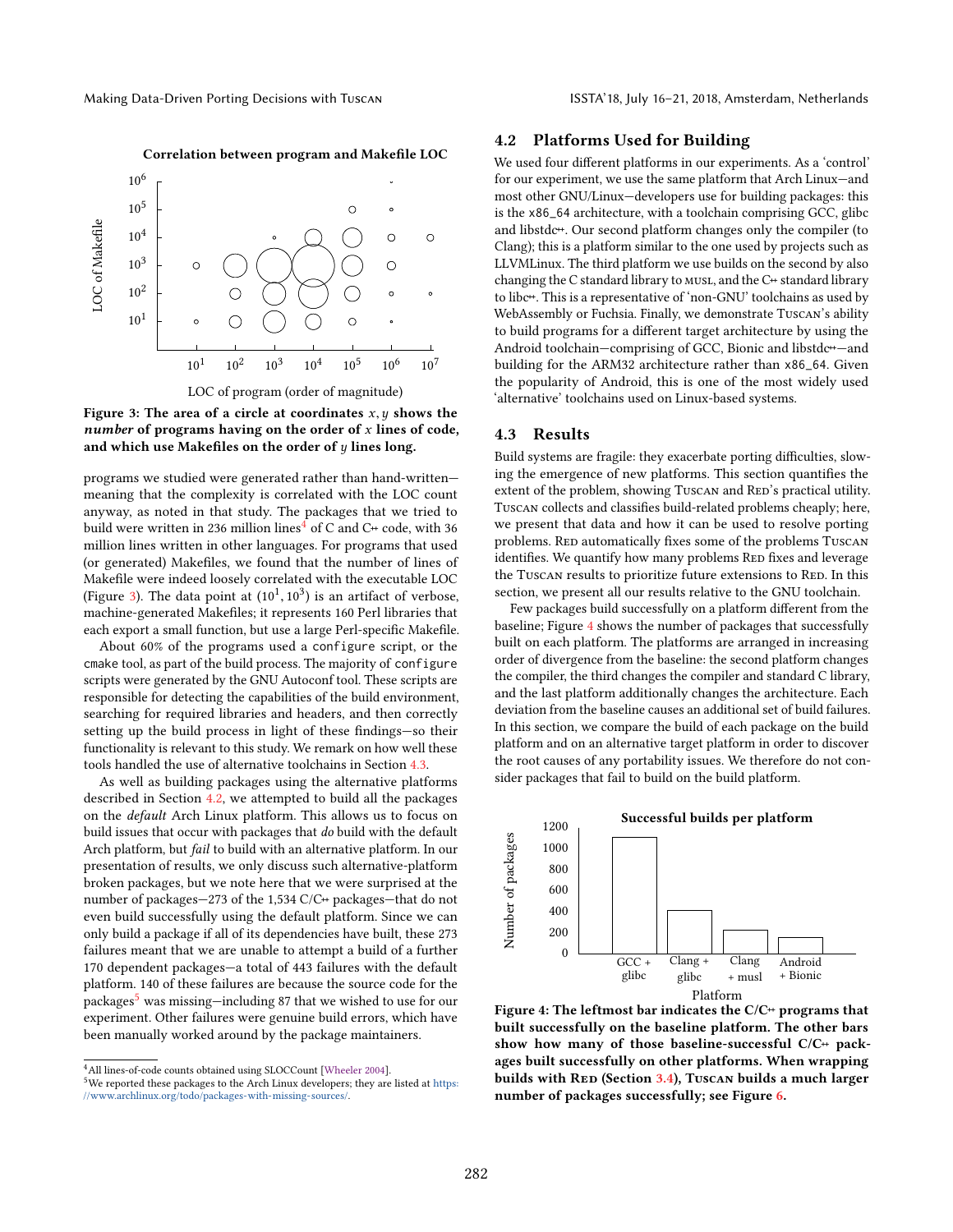Correlation between program and Makefile LOC

<span id="page-6-2"></span>



programs we studied were generated rather than hand-written meaning that the complexity is correlated with the LOC count anyway, as noted in that study. The packages that we tried to build were written in 236 million lines<sup>[4](#page-0-0)</sup> of C and C<sup>++</sup> code, with 36 million lines written in other languages. For programs that used (or generated) Makefiles, we found that the number of lines of Makefile were indeed loosely correlated with the executable LOC (Figure [3\)](#page-6-2). The data point at  $(10^1, 10^3)$  is an artifact of verbose, machine-generated Makefiles: it represents 160 Perl libraries that machine-generated Makefiles; it represents 160 Perl libraries that each export a small function, but use a large Perl-specific Makefile.

About 60% of the programs used a configure script, or the cmake tool, as part of the build process. The majority of configure scripts were generated by the GNU Autoconf tool. These scripts are responsible for detecting the capabilities of the build environment, searching for required libraries and headers, and then correctly setting up the build process in light of these findings—so their functionality is relevant to this study. We remark on how well these tools handled the use of alternative toolchains in Section [4.3.](#page-6-0)

As well as building packages using the alternative platforms described in Section [4.2,](#page-6-1) we attempted to build all the packages on the default Arch Linux platform. This allows us to focus on build issues that occur with packages that do build with the default Arch platform, but fail to build with an alternative platform. In our presentation of results, we only discuss such alternative-platform broken packages, but we note here that we were surprised at the number of packages-273 of the 1,534 C/C++ packages-that do not even build successfully using the default platform. Since we can only build a package if all of its dependencies have built, these 273 failures meant that we are unable to attempt a build of a further 170 dependent packages—a total of 443 failures with the default platform. 140 of these failures are because the source code for the packages<sup>[5](#page-0-0)</sup> was missing—including 87 that we wished to use for our experiment. Other failures were genuine build errors, which have been manually worked around by the package maintainers.

## <span id="page-6-1"></span>4.2 Platforms Used for Building

We used four different platforms in our experiments. As a 'control' for our experiment, we use the same platform that Arch Linux—and most other GNU/Linux—developers use for building packages: this is the x86\_64 architecture, with a toolchain comprising GCC, glibc and libstdc<sup>++</sup>. Our second platform changes only the compiler (to Clang); this is a platform similar to the one used by projects such as LLVMLinux. The third platform we use builds on the second by also changing the C standard library to MUSL, and the C++ standard library to libc+. This is a representative of 'non-GNU' toolchains as used by WebAssembly or Fuchsia. Finally, we demonstrate Tuscan's ability to build programs for a different target architecture by using the Android toolchain-comprising of GCC, Bionic and libstdc+-and building for the ARM32 architecture rather than x86\_64. Given the popularity of Android, this is one of the most widely used 'alternative' toolchains used on Linux-based systems.

#### <span id="page-6-0"></span>4.3 Results

Build systems are fragile: they exacerbate porting difficulties, slowing the emergence of new platforms. This section quantifies the extent of the problem, showing Tuscan and RED's practical utility. Tuscan collects and classifies build-related problems cheaply; here, we present that data and how it can be used to resolve porting problems. RED automatically fixes some of the problems Tuscan identifies. We quantify how many problems RED fixes and leverage the Tuscan results to prioritize future extensions to RED. In this section, we present all our results relative to the GNU toolchain.

Few packages build successfully on a platform different from the baseline; Figure [4](#page-6-3) shows the number of packages that successfully built on each platform. The platforms are arranged in increasing order of divergence from the baseline: the second platform changes the compiler, the third changes the compiler and standard C library, and the last platform additionally changes the architecture. Each deviation from the baseline causes an additional set of build failures. In this section, we compare the build of each package on the build platform and on an alternative target platform in order to discover the root causes of any portability issues. We therefore do not consider packages that fail to build on the build platform.

<span id="page-6-3"></span>

Figure 4: The leftmost bar indicates the  $C/C+$  programs that built successfully on the baseline platform. The other bars show how many of those baseline-successful  $C/C+$  packages built successfully on other platforms. When wrapping builds with RED (Section [3.4\)](#page-4-1), Tuscan builds a much larger number of packages successfully; see Figure [6.](#page-8-1)

<sup>4</sup>All lines-of-code counts obtained using SLOCCount [\[Wheeler](#page-10-23) [2004\]](#page-10-23).

<sup>&</sup>lt;sup>5</sup>We reported these packages to the Arch Linux developers; they are listed at [https:](https://www.archlinux.org/todo/packages-with-missing-sources/) [//www.archlinux.org/todo/packages-with-missing-sources/.](https://www.archlinux.org/todo/packages-with-missing-sources/)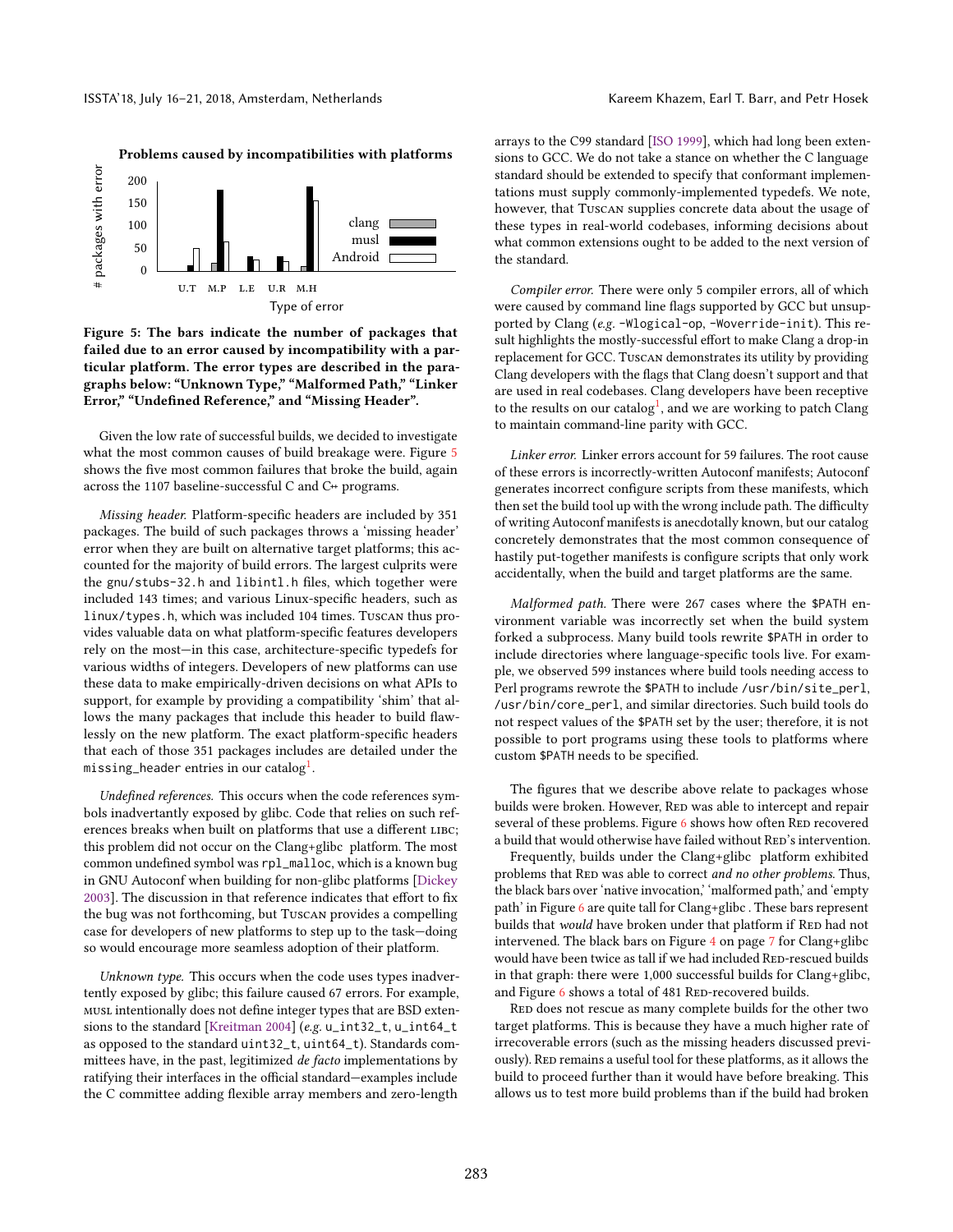

<span id="page-7-0"></span>Problems caused by incompatibilities with platforms



Given the low rate of successful builds, we decided to investigate what the most common causes of build breakage were. Figure [5](#page-7-0) shows the five most common failures that broke the build, again across the 1107 baseline-successful C and  $C+$  programs.

Missing header. Platform-specific headers are included by 351 packages. The build of such packages throws a 'missing header' error when they are built on alternative target platforms; this accounted for the majority of build errors. The largest culprits were the gnu/stubs-32.h and libintl.h files, which together were included 143 times; and various Linux-specific headers, such as linux/types.h, which was included 104 times. Tuscan thus provides valuable data on what platform-specific features developers rely on the most—in this case, architecture-specific typedefs for various widths of integers. Developers of new platforms can use these data to make empirically-driven decisions on what APIs to support, for example by providing a compatibility 'shim' that allows the many packages that include this header to build flawlessly on the new platform. The exact platform-specific headers that each of those 351 packages includes are detailed under the <code>missing\_header</code> entries in our catalog $^{\rm 1}.$  $^{\rm 1}.$  $^{\rm 1}.$ 

Undefined references. This occurs when the code references symbols inadvertantly exposed by glibc. Code that relies on such references breaks when built on platforms that use a different LIBC; this problem did not occur on the Clang+glibc platform. The most common undefined symbol was rpl\_malloc, which is a known bug in GNU Autoconf when building for non-glibc platforms [\[Dickey](#page-10-24) [2003\]](#page-10-24). The discussion in that reference indicates that effort to fix the bug was not forthcoming, but Tuscan provides a compelling case for developers of new platforms to step up to the task—doing so would encourage more seamless adoption of their platform.

Unknown type. This occurs when the code uses types inadvertently exposed by glibc; this failure caused 67 errors. For example, musl intentionally does not define integer types that are BSD extensions to the standard [\[Kreitman](#page-10-25) [2004\]](#page-10-25) (e.g. u\_int32\_t, u\_int64\_t as opposed to the standard uint32\_t, uint64\_t). Standards committees have, in the past, legitimized de facto implementations by ratifying their interfaces in the official standard—examples include the C committee adding flexible array members and zero-length

arrays to the C99 standard [\[ISO](#page-10-26) [1999\]](#page-10-26), which had long been extensions to GCC. We do not take a stance on whether the C language standard should be extended to specify that conformant implementations must supply commonly-implemented typedefs. We note, however, that Tuscan supplies concrete data about the usage of these types in real-world codebases, informing decisions about what common extensions ought to be added to the next version of the standard.

Compiler error. There were only 5 compiler errors, all of which were caused by command line flags supported by GCC but unsupported by Clang (e.g. -Wlogical-op, -Woverride-init). This result highlights the mostly-successful effort to make Clang a drop-in replacement for GCC. Tuscan demonstrates its utility by providing Clang developers with the flags that Clang doesn't support and that are used in real codebases. Clang developers have been receptive to the results on our catalog<sup>[1](#page-0-1)</sup>, and we are working to patch Clang to maintain command-line parity with GCC.

Linker error. Linker errors account for 59 failures. The root cause of these errors is incorrectly-written Autoconf manifests; Autoconf generates incorrect configure scripts from these manifests, which then set the build tool up with the wrong include path. The difficulty of writing Autoconf manifests is anecdotally known, but our catalog concretely demonstrates that the most common consequence of hastily put-together manifests is configure scripts that only work accidentally, when the build and target platforms are the same.

Malformed path. There were 267 cases where the \$PATH environment variable was incorrectly set when the build system forked a subprocess. Many build tools rewrite \$PATH in order to include directories where language-specific tools live. For example, we observed 599 instances where build tools needing access to Perl programs rewrote the \$PATH to include /usr/bin/site\_perl, /usr/bin/core\_perl, and similar directories. Such build tools do not respect values of the \$PATH set by the user; therefore, it is not possible to port programs using these tools to platforms where custom \$PATH needs to be specified.

The figures that we describe above relate to packages whose builds were broken. However, RED was able to intercept and repair several of these problems. Figure [6](#page-8-1) shows how often RED recovered a build that would otherwise have failed without RED's intervention.

Frequently, builds under the Clang+glibc platform exhibited problems that RED was able to correct and no other problems. Thus, the black bars over 'native invocation,' 'malformed path,' and 'empty path' in Figure [6](#page-8-1) are quite tall for Clang+glibc . These bars represent builds that would have broken under that platform if RED had not intervened. The black bars on Figure [4](#page-6-3) on page [7](#page-6-3) for Clang+glibc would have been twice as tall if we had included RED-rescued builds in that graph: there were 1,000 successful builds for Clang+glibc, and Figure [6](#page-8-1) shows a total of 481 RED-recovered builds.

RED does not rescue as many complete builds for the other two target platforms. This is because they have a much higher rate of irrecoverable errors (such as the missing headers discussed previously). RED remains a useful tool for these platforms, as it allows the build to proceed further than it would have before breaking. This allows us to test more build problems than if the build had broken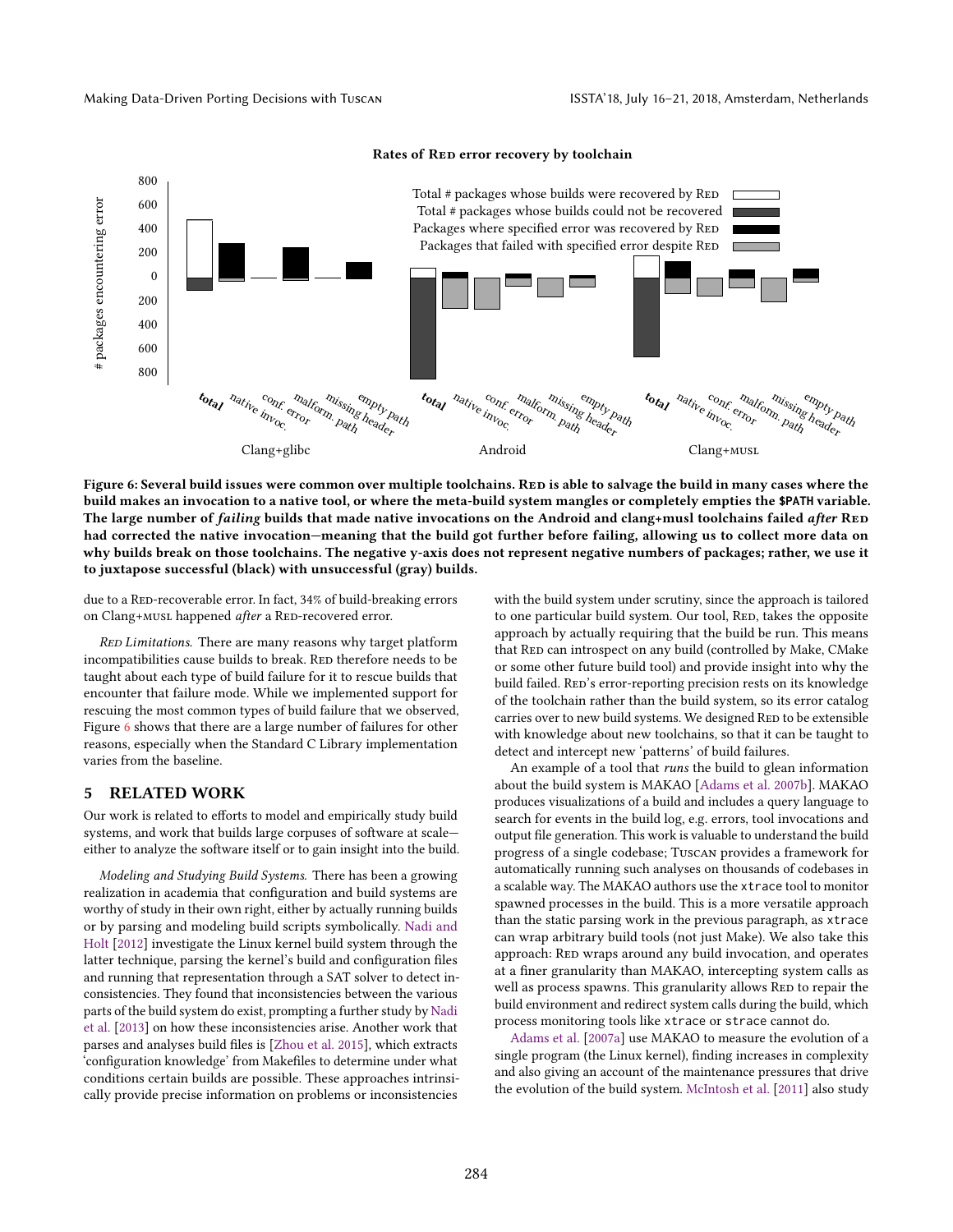<span id="page-8-1"></span>

#### Rates of RED error recovery by toolchain

Figure 6: Several build issues were common over multiple toolchains. RED is able to salvage the build in many cases where the build makes an invocation to a native tool, or where the meta-build system mangles or completely empties the **\$PATH** variable. The large number of failing builds that made native invocations on the Android and clang+musl toolchains failed after RED had corrected the native invocation—meaning that the build got further before failing, allowing us to collect more data on why builds break on those toolchains. The negative y-axis does not represent negative numbers of packages; rather, we use it to juxtapose successful (black) with unsuccessful (gray) builds.

due to a RED-recoverable error. In fact, 34% of build-breaking errors on Clang+MUSL happened after a RED-recovered error.

RED Limitations. There are many reasons why target platform incompatibilities cause builds to break. RED therefore needs to be taught about each type of build failure for it to rescue builds that encounter that failure mode. While we implemented support for rescuing the most common types of build failure that we observed, Figure [6](#page-8-1) shows that there are a large number of failures for other reasons, especially when the Standard C Library implementation varies from the baseline.

# <span id="page-8-0"></span>5 RELATED WORK

Our work is related to efforts to model and empirically study build systems, and work that builds large corpuses of software at scale either to analyze the software itself or to gain insight into the build.

Modeling and Studying Build Systems. There has been a growing realization in academia that configuration and build systems are worthy of study in their own right, either by actually running builds or by parsing and modeling build scripts symbolically. [Nadi and](#page-10-27) [Holt](#page-10-27) [\[2012\]](#page-10-27) investigate the Linux kernel build system through the latter technique, parsing the kernel's build and configuration files and running that representation through a SAT solver to detect inconsistencies. They found that inconsistencies between the various parts of the build system do exist, prompting a further study by [Nadi](#page-10-28) [et al.](#page-10-28) [\[2013\]](#page-10-28) on how these inconsistencies arise. Another work that parses and analyses build files is [\[Zhou et al.](#page-10-29) [2015\]](#page-10-29), which extracts 'configuration knowledge' from Makefiles to determine under what conditions certain builds are possible. These approaches intrinsically provide precise information on problems or inconsistencies

with the build system under scrutiny, since the approach is tailored to one particular build system. Our tool, RED, takes the opposite approach by actually requiring that the build be run. This means that RED can introspect on any build (controlled by Make, CMake or some other future build tool) and provide insight into why the build failed. RED's error-reporting precision rests on its knowledge of the toolchain rather than the build system, so its error catalog carries over to new build systems. We designed RED to be extensible with knowledge about new toolchains, so that it can be taught to detect and intercept new 'patterns' of build failures.

An example of a tool that runs the build to glean information about the build system is MAKAO [\[Adams et al.](#page-10-30) [2007b\]](#page-10-30). MAKAO produces visualizations of a build and includes a query language to search for events in the build log, e.g. errors, tool invocations and output file generation. This work is valuable to understand the build progress of a single codebase; Tuscan provides a framework for automatically running such analyses on thousands of codebases in a scalable way. The MAKAO authors use the xtrace tool to monitor spawned processes in the build. This is a more versatile approach than the static parsing work in the previous paragraph, as xtrace can wrap arbitrary build tools (not just Make). We also take this approach: RED wraps around any build invocation, and operates at a finer granularity than MAKAO, intercepting system calls as well as process spawns. This granularity allows RED to repair the build environment and redirect system calls during the build, which process monitoring tools like xtrace or strace cannot do.

[Adams et al.](#page-10-31) [\[2007a\]](#page-10-31) use MAKAO to measure the evolution of a single program (the Linux kernel), finding increases in complexity and also giving an account of the maintenance pressures that drive the evolution of the build system. [McIntosh et al.](#page-10-32) [\[2011\]](#page-10-32) also study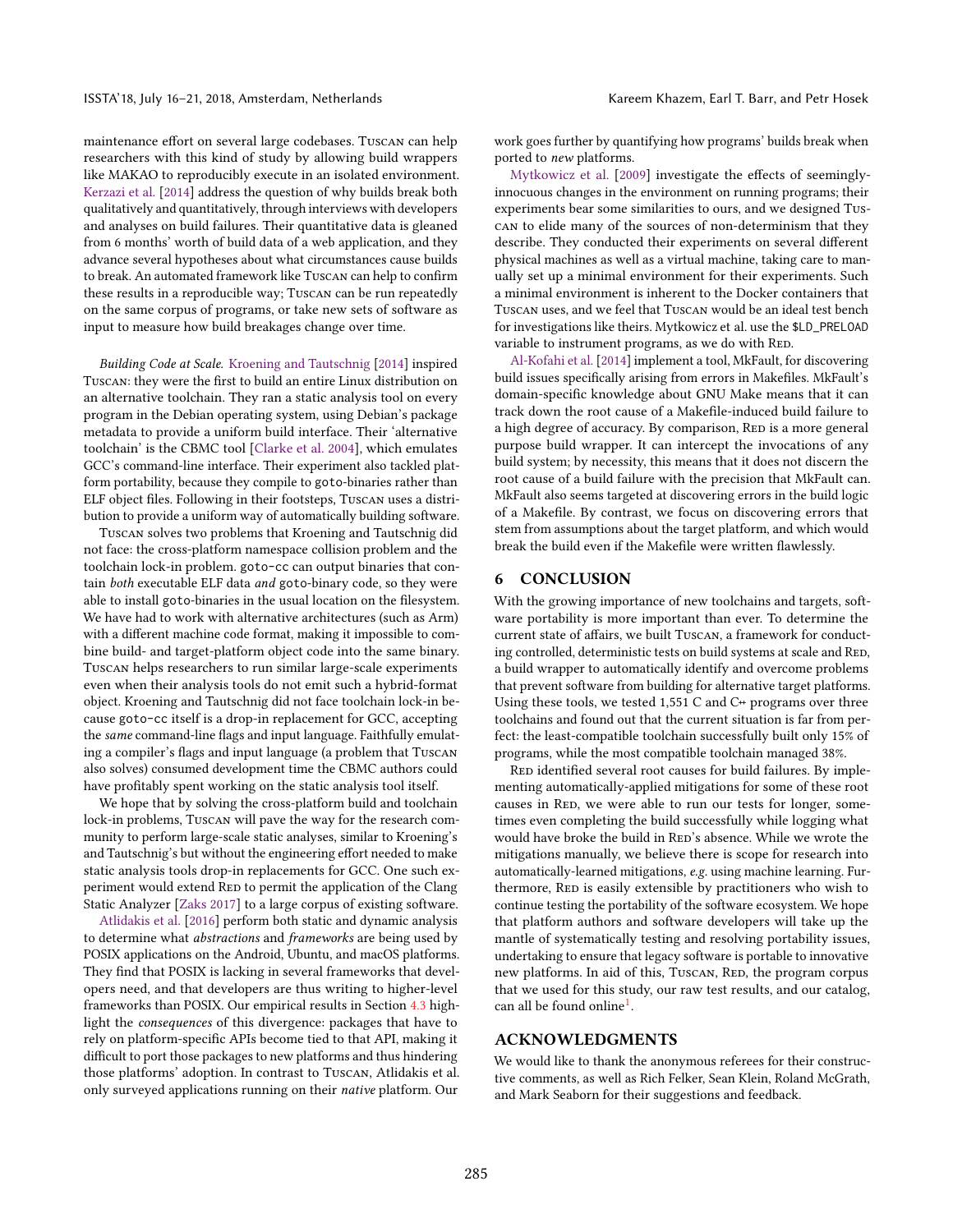maintenance effort on several large codebases. Tuscan can help researchers with this kind of study by allowing build wrappers like MAKAO to reproducibly execute in an isolated environment. [Kerzazi et al.](#page-10-33) [\[2014\]](#page-10-33) address the question of why builds break both qualitatively and quantitatively, through interviews with developers and analyses on build failures. Their quantitative data is gleaned from 6 months' worth of build data of a web application, and they advance several hypotheses about what circumstances cause builds to break. An automated framework like Tuscan can help to confirm these results in a reproducible way; Tuscan can be run repeatedly on the same corpus of programs, or take new sets of software as input to measure how build breakages change over time.

Building Code at Scale. [Kroening and Tautschnig](#page-10-34) [\[2014\]](#page-10-34) inspired Tuscan: they were the first to build an entire Linux distribution on an alternative toolchain. They ran a static analysis tool on every program in the Debian operating system, using Debian's package metadata to provide a uniform build interface. Their 'alternative toolchain' is the CBMC tool [\[Clarke et al.](#page-10-35) [2004\]](#page-10-35), which emulates GCC's command-line interface. Their experiment also tackled platform portability, because they compile to goto-binaries rather than ELF object files. Following in their footsteps, Tuscan uses a distribution to provide a uniform way of automatically building software.

Tuscan solves two problems that Kroening and Tautschnig did not face: the cross-platform namespace collision problem and the toolchain lock-in problem. goto-cc can output binaries that contain both executable ELF data and goto-binary code, so they were able to install goto-binaries in the usual location on the filesystem. We have had to work with alternative architectures (such as Arm) with a different machine code format, making it impossible to combine build- and target-platform object code into the same binary. Tuscan helps researchers to run similar large-scale experiments even when their analysis tools do not emit such a hybrid-format object. Kroening and Tautschnig did not face toolchain lock-in because goto-cc itself is a drop-in replacement for GCC, accepting the same command-line flags and input language. Faithfully emulating a compiler's flags and input language (a problem that Tuscan also solves) consumed development time the CBMC authors could have profitably spent working on the static analysis tool itself.

We hope that by solving the cross-platform build and toolchain lock-in problems, Tuscan will pave the way for the research community to perform large-scale static analyses, similar to Kroening's and Tautschnig's but without the engineering effort needed to make static analysis tools drop-in replacements for GCC. One such experiment would extend RED to permit the application of the Clang Static Analyzer [\[Zaks](#page-10-36) [2017\]](#page-10-36) to a large corpus of existing software.

[Atlidakis et al.](#page-10-37) [\[2016\]](#page-10-37) perform both static and dynamic analysis to determine what abstractions and frameworks are being used by POSIX applications on the Android, Ubuntu, and macOS platforms. They find that POSIX is lacking in several frameworks that developers need, and that developers are thus writing to higher-level frameworks than POSIX. Our empirical results in Section [4.3](#page-6-0) highlight the consequences of this divergence: packages that have to rely on platform-specific APIs become tied to that API, making it difficult to port those packages to new platforms and thus hindering those platforms' adoption. In contrast to Tuscan, Atlidakis et al. only surveyed applications running on their native platform. Our

work goes further by quantifying how programs' builds break when ported to new platforms.

[Mytkowicz et al.](#page-10-16) [\[2009\]](#page-10-16) investigate the effects of seeminglyinnocuous changes in the environment on running programs; their experiments bear some similarities to ours, and we designed Tuscan to elide many of the sources of non-determinism that they describe. They conducted their experiments on several different physical machines as well as a virtual machine, taking care to manually set up a minimal environment for their experiments. Such a minimal environment is inherent to the Docker containers that Tuscan uses, and we feel that Tuscan would be an ideal test bench for investigations like theirs. Mytkowicz et al. use the \$LD\_PRELOAD variable to instrument programs, as we do with RED.

[Al-Kofahi et al.](#page-10-38) [\[2014\]](#page-10-38) implement a tool, MkFault, for discovering build issues specifically arising from errors in Makefiles. MkFault's domain-specific knowledge about GNU Make means that it can track down the root cause of a Makefile-induced build failure to a high degree of accuracy. By comparison, RED is a more general purpose build wrapper. It can intercept the invocations of any build system; by necessity, this means that it does not discern the root cause of a build failure with the precision that MkFault can. MkFault also seems targeted at discovering errors in the build logic of a Makefile. By contrast, we focus on discovering errors that stem from assumptions about the target platform, and which would break the build even if the Makefile were written flawlessly.

## **CONCLUSION**

With the growing importance of new toolchains and targets, software portability is more important than ever. To determine the current state of affairs, we built Tuscan, a framework for conducting controlled, deterministic tests on build systems at scale and RED, a build wrapper to automatically identify and overcome problems that prevent software from building for alternative target platforms. Using these tools, we tested 1,551 C and  $C+$  programs over three toolchains and found out that the current situation is far from perfect: the least-compatible toolchain successfully built only 15% of programs, while the most compatible toolchain managed 38%.

RED identified several root causes for build failures. By implementing automatically-applied mitigations for some of these root causes in RED, we were able to run our tests for longer, sometimes even completing the build successfully while logging what would have broke the build in RED's absence. While we wrote the mitigations manually, we believe there is scope for research into automatically-learned mitigations, e.g. using machine learning. Furthermore, RED is easily extensible by practitioners who wish to continue testing the portability of the software ecosystem. We hope that platform authors and software developers will take up the mantle of systematically testing and resolving portability issues, undertaking to ensure that legacy software is portable to innovative new platforms. In aid of this, Tuscan, RED, the program corpus that we used for this study, our raw test results, and our catalog, can all be found online<sup>[1](#page-0-1)</sup>.

## ACKNOWLEDGMENTS

We would like to thank the anonymous referees for their constructive comments, as well as Rich Felker, Sean Klein, Roland McGrath, and Mark Seaborn for their suggestions and feedback.